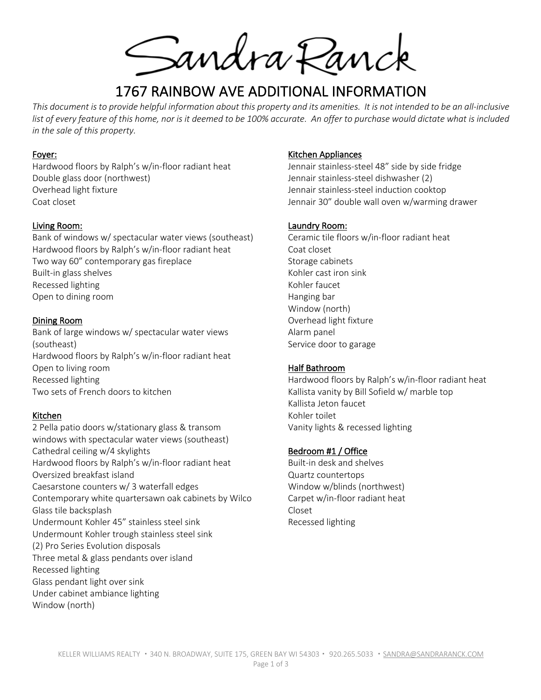Sandra Ranck

# 1767 RAINBOW AVE ADDITIONAL INFORMATION

*This document is to provide helpful information about this property and its amenities. It is not intended to be an all-inclusive*  list of every feature of this home, nor is it deemed to be 100% accurate. An offer to purchase would dictate what is included *in the sale of this property.*

#### Foyer:

Hardwood floors by Ralph's w/in-floor radiant heat Double glass door (northwest) Overhead light fixture Coat closet

#### Living Room:

Bank of windows w/ spectacular water views (southeast) Hardwood floors by Ralph's w/in-floor radiant heat Two way 60" contemporary gas fireplace Built-in glass shelves Recessed lighting Open to dining room

#### Dining Room

Bank of large windows w/ spectacular water views (southeast) Hardwood floors by Ralph's w/in-floor radiant heat Open to living room Recessed lighting Two sets of French doors to kitchen

## Kitchen

2 Pella patio doors w/stationary glass & transom windows with spectacular water views (southeast) Cathedral ceiling w/4 skylights Hardwood floors by Ralph's w/in-floor radiant heat Oversized breakfast island Caesarstone counters w/ 3 waterfall edges Contemporary white quartersawn oak cabinets by Wilco Glass tile backsplash Undermount Kohler 45" stainless steel sink Undermount Kohler trough stainless steel sink (2) Pro Series Evolution disposals Three metal & glass pendants over island Recessed lighting Glass pendant light over sink Under cabinet ambiance lighting Window (north)

#### Kitchen Appliances

Jennair stainless-steel 48" side by side fridge Jennair stainless-steel dishwasher (2) Jennair stainless-steel induction cooktop Jennair 30" double wall oven w/warming drawer

#### Laundry Room:

Ceramic tile floors w/in-floor radiant heat Coat closet Storage cabinets Kohler cast iron sink Kohler faucet Hanging bar Window (north) Overhead light fixture Alarm panel Service door to garage

## Half Bathroom

Hardwood floors by Ralph's w/in-floor radiant heat Kallista vanity by Bill Sofield w/ marble top Kallista Jeton faucet Kohler toilet Vanity lights & recessed lighting

#### Bedroom #1 / Office

Built-in desk and shelves Quartz countertops Window w/blinds (northwest) Carpet w/in-floor radiant heat Closet Recessed lighting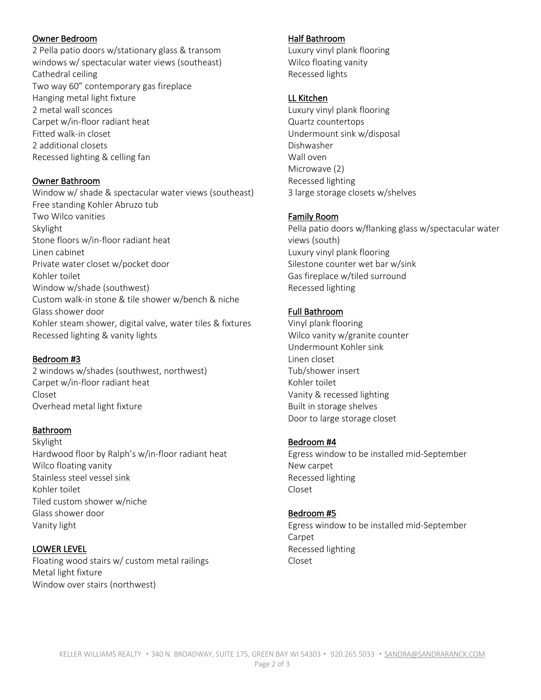# Owner Bedroom

2 Pella patio doors w/stationary glass & transom windows w/ spectacular water views (southeast) Cathedral ceiling Two way 60" contemporary gas fireplace Hanging metal light fixture 2 metal wall sconces Carpet w/in-floor radiant heat Fitted walk-in closet 2 additional closets Recessed lighting & celling fan

## Owner Bathroom

Window w/ shade & spectacular water views (southeast) Free standing Kohler Abruzo tub Two Wilco vanities Skylight Stone floors w/in-floor radiant heat Linen cabinet Private water closet w/pocket door Kohler toilet Window w/shade (southwest) Custom walk-in stone & tile shower w/bench & niche Glass shower door Kohler steam shower, digital valve, water tiles & fixtures Recessed lighting & vanity lights

## Bedroom #3

2 windows w/shades (southwest, northwest) Carpet w/in-floor radiant heat Closet Overhead metal light fixture

## Bathroom

Skylight Hardwood floor by Ralph's w/in-floor radiant heat Wilco floating vanity Stainless steel vessel sink Kohler toilet Tiled custom shower w/niche Glass shower door Vanity light

# LOWER LEVEL

Floating wood stairs w/ custom metal railings Metal light fixture Window over stairs (northwest)

## Half Bathroom

Luxury vinyl plank flooring Wilco floating vanity Recessed lights

#### LL Kitchen

Luxury vinyl plank flooring Quartz countertops Undermount sink w/disposal Dishwasher Wall oven Microwave (2) Recessed lighting 3 large storage closets w/shelves

## Family Room

Pella patio doors w/flanking glass w/spectacular water views (south) Luxury vinyl plank flooring Silestone counter wet bar w/sink Gas fireplace w/tiled surround Recessed lighting

# Full Bathroom

Vinyl plank flooring Wilco vanity w/granite counter Undermount Kohler sink Linen closet Tub/shower insert Kohler toilet Vanity & recessed lighting Built in storage shelves Door to large storage closet

#### Bedroom #4

Egress window to be installed mid-September New carpet Recessed lighting Closet

## Bedroom #5

Egress window to be installed mid-September Carpet Recessed lighting Closet